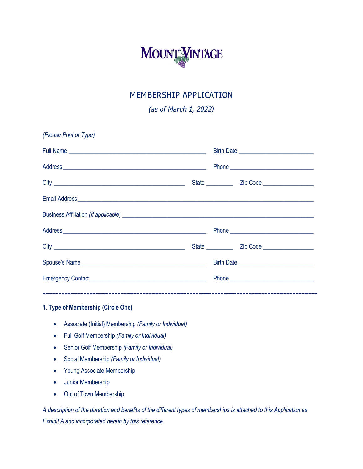

## MEMBERSHIP APPLICATION

*(as of March 1, 2022)*

| (Please Print or Type) |  |                                                                                                                                                                                                                                      |  |  |
|------------------------|--|--------------------------------------------------------------------------------------------------------------------------------------------------------------------------------------------------------------------------------------|--|--|
|                        |  |                                                                                                                                                                                                                                      |  |  |
|                        |  | Phone <b>contract and contract of the state of the state of the state of the state of the state of the state of the state of the state of the state of the state of the state of the state of the state of the state of the stat</b> |  |  |
|                        |  |                                                                                                                                                                                                                                      |  |  |
|                        |  |                                                                                                                                                                                                                                      |  |  |
|                        |  |                                                                                                                                                                                                                                      |  |  |
|                        |  |                                                                                                                                                                                                                                      |  |  |
|                        |  |                                                                                                                                                                                                                                      |  |  |
| Spouse's Name          |  |                                                                                                                                                                                                                                      |  |  |
|                        |  |                                                                                                                                                                                                                                      |  |  |
|                        |  |                                                                                                                                                                                                                                      |  |  |

#### **1. Type of Membership (Circle One)**

- Associate (Initial) Membership *(Family or Individual)*
- Full Golf Membership *(Family or Individual)*
- Senior Golf Membership *(Family or Individual)*
- Social Membership *(Family or Individual)*
- Young Associate Membership
- Junior Membership
- Out of Town Membership

*A description of the duration and benefits of the different types of memberships is attached to this Application as Exhibit A and incorporated herein by this reference.*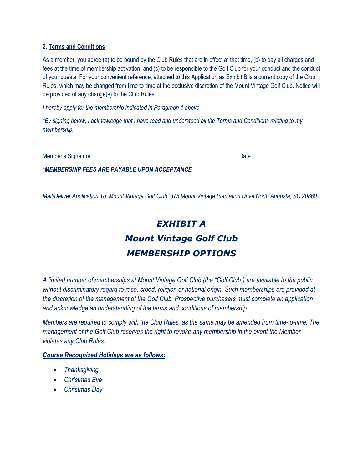#### **2. Terms and Conditions**

As a member, you agree (a) to be bound by the Club Rules that are in effect at that time, (b) to pay all charges and fees at the time of membership activation, and (c) to be responsible to the Golf Club for your conduct and the conduct of your guests. For your convenient reference, attached to this Application as Exhibit B is a current copy of the Club Rules, which may be changed from time to time at the exclusive discretion of the Mount Vintage Golf Club. Notice will be provided of any change(s) to the Club Rules.

*I hereby apply for the membership indicated in Paragraph 1 above.*

*\*By signing below, I acknowledge that I have read and understood all the Terms and Conditions relating to my membership.*

Member's Signature \_\_\_\_\_\_\_\_\_\_\_\_\_\_\_\_\_\_\_\_\_\_\_\_\_\_\_\_\_\_\_\_\_\_\_\_\_\_\_\_\_\_\_\_\_\_\_\_\_Date \_\_\_\_\_\_\_\_\_

*\*MEMBERSHIP FEES ARE PAYABLE UPON ACCEPTANCE*

*Mail/Deliver Application To: Mount Vintage Golf Club, 375 Mount Vintage Plantation Drive North Augusta, SC 20860*

# *EXHIBIT A Mount Vintage Golf Club MEMBERSHIP OPTIONS*

*A limited number of memberships at Mount Vintage Golf Club (the "Golf Club") are available to the public without discriminatory regard to race, creed, religion or national origin. Such memberships are provided at the discretion of the management of the Golf Club. Prospective purchasers must complete an application and acknowledge an understanding of the terms and conditions of membership.*

*Members are required to comply with the Club Rules, as the same may be amended from time-to-time. The management of the Golf Club reserves the right to revoke any membership in the event the Member violates any Club Rules.*

#### *Course Recognized Holidays are as follows:*

- *Thanksgiving*
- *Christmas Eve*
- *Christmas Day*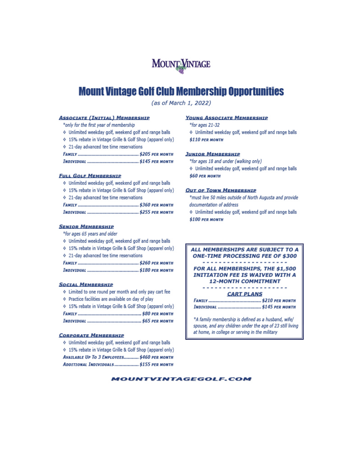

# **Mount Vintage Golf Club Membership Opportunities**

(as of March 1, 2022)

#### **ASSOCIATE (INITIAL) MEMBERSHIP**

\*only for the first year of membership

- Unlimited weekday golf, weekend golf and range balls
- ♦ 15% rebate in Vintage Grille & Golf Shop (apparel only)
- ♦ 21-day advanced tee time reservations

#### **FULL GOLF MEMBERSHIP**

- Unlimited weekday golf, weekend golf and range balls
- ♦ 15% rebate in Vintage Grille & Golf Shop (apparel only)
- ♦ 21-day advanced tee time reservations
- 

#### **SENIOR MEMBERSHIP**

\*for ages 65 years and older

Unlimited weekday golf, weekend golf and range balls

♦ 15% rebate in Vintage Grille & Golf Shop (apparel only)

♦ 21-day advanced tee time reservations

#### **SOCIAL MEMBERSHIP**

- If Limited to one round per month and only pay cart fee
- Fractice facilities are available on day of play
- ♦ 15% rebate in Vintage Grille & Golf Shop (apparel only)
- 
- 

#### **CORPORATE MEMBERSHIP**

- ♦ Unlimited weekday golf, weekend golf and range balls
- ♦ 15% rebate in Vintage Grille & Golf Shop (apparel only) AVAILABLE UP To 3 EMPLOYEES........... \$460 PER MONTH
- ADDITIONAL INDIVIDUALS ................... \$155 PER MONTH

#### **YOUNG ASSOCIATE MEMBERSHIP**

- \*for ages 21-32
- Unlimited weekday golf, weekend golf and range balls \$110 PER MONTH

#### **JUNIOR MEMBERSHIP**

\*for ages 18 and under (walking only)

Unlimited weekday golf, weekend golf and range balls **\$60 PER MONTH** 

#### **OUT OF TOWN MEMBERSHIP**

\*must live 50 miles outside of North Augusta and provide documentation of address

♦ Unlimited weekday golf, weekend golf and range balls \$100 PER MONTH



\*A family membership is defined as a husband, wife/ spouse, and any children under the age of 23 still living at home, in college or serving in the military

#### **MOUNTVINTAGEGOLF.COM**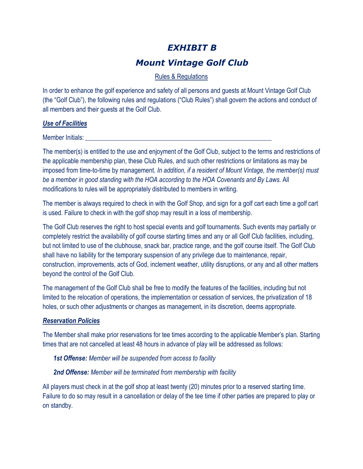## *EXHIBIT B*

## *Mount Vintage Golf Club*

## Rules & Regulations

In order to enhance the golf experience and safety of all persons and guests at Mount Vintage Golf Club (the "Golf Club"), the following rules and regulations ("Club Rules") shall govern the actions and conduct of all members and their guests at the Golf Club.

#### *Use of Facilities*

Member Initials:

The member(s) is entitled to the use and enjoyment of the Golf Club, subject to the terms and restrictions of the applicable membership plan, these Club Rules, and such other restrictions or limitations as may be imposed from time-to-time by management. *In addition, if a resident of Mount Vintage, the member(s) must be a member in good standing with the HOA according to the HOA Covenants and By Laws.* All modifications to rules will be appropriately distributed to members in writing.

The member is always required to check in with the Golf Shop, and sign for a golf cart each time a golf cart is used. Failure to check in with the golf shop may result in a loss of membership.

The Golf Club reserves the right to host special events and golf tournaments. Such events may partially or completely restrict the availability of golf course starting times and any or all Golf Club facilities, including, but not limited to use of the clubhouse, snack bar, practice range, and the golf course itself. The Golf Club shall have no liability for the temporary suspension of any privilege due to maintenance, repair, construction, improvements, acts of God, inclement weather, utility disruptions, or any and all other matters beyond the control of the Golf Club.

The management of the Golf Club shall be free to modify the features of the facilities, including but not limited to the relocation of operations, the implementation or cessation of services, the privatization of 18 holes, or such other adjustments or changes as management, in its discretion, deems appropriate.

## *Reservation Policies*

The Member shall make prior reservations for tee times according to the applicable Member's plan. Starting times that are not cancelled at least 48 hours in advance of play will be addressed as follows:

*1st Offense: Member will be suspended from access to facility* 

#### *2nd Offense: Member will be terminated from membership with facility*

All players must check in at the golf shop at least twenty (20) minutes prior to a reserved starting time. Failure to do so may result in a cancellation or delay of the tee time if other parties are prepared to play or on standby.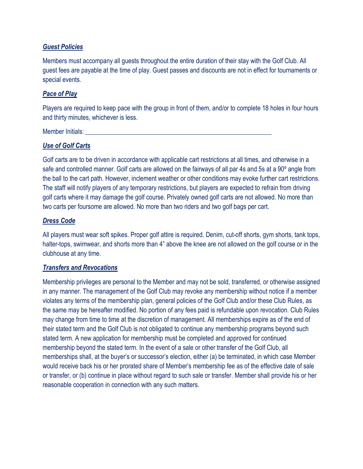### *Guest Policies*

Members must accompany all guests throughout the entire duration of their stay with the Golf Club. All guest fees are payable at the time of play. Guest passes and discounts are not in effect for tournaments or special events.

### *Pace of Play*

Players are required to keep pace with the group in front of them, and/or to complete 18 holes in four hours and thirty minutes, whichever is less.

Member Initials:

#### *Use of Golf Carts*

Golf carts are to be driven in accordance with applicable cart restrictions at all times, and otherwise in a safe and controlled manner. Golf carts are allowed on the fairways of all par 4s and 5s at a 90º angle from the ball to the cart path. However, inclement weather or other conditions may evoke further cart restrictions. The staff will notify players of any temporary restrictions, but players are expected to refrain from driving golf carts where it may damage the golf course. Privately owned golf carts are not allowed. No more than two carts per foursome are allowed. No more than two riders and two golf bags per cart.

#### *Dress Code*

All players must wear soft spikes. Proper golf attire is required. Denim, cut-off shorts, gym shorts, tank tops, halter-tops, swimwear, and shorts more than 4" above the knee are not allowed on the golf course or in the clubhouse at any time.

#### *Transfers and Revocations*

Membership privileges are personal to the Member and may not be sold, transferred, or otherwise assigned in any manner. The management of the Golf Club may revoke any membership without notice if a member violates any terms of the membership plan, general policies of the Golf Club and/or these Club Rules, as the same may be hereafter modified. No portion of any fees paid is refundable upon revocation. Club Rules may change from time to time at the discretion of management. All memberships expire as of the end of their stated term and the Golf Club is not obligated to continue any membership programs beyond such stated term. A new application for membership must be completed and approved for continued membership beyond the stated term. In the event of a sale or other transfer of the Golf Club, all memberships shall, at the buyer's or successor's election, either (a) be terminated, in which case Member would receive back his or her prorated share of Member's membership fee as of the effective date of sale or transfer, or (b) continue in place without regard to such sale or transfer. Member shall provide his or her reasonable cooperation in connection with any such matters.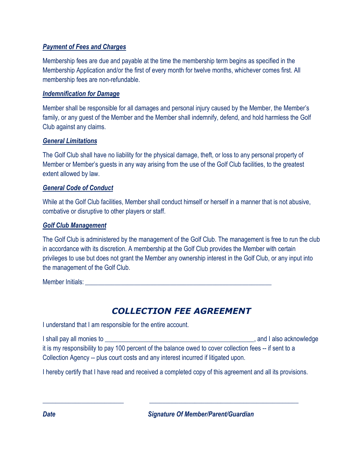## *Payment of Fees and Charges*

Membership fees are due and payable at the time the membership term begins as specified in the Membership Application and/or the first of every month for twelve months, whichever comes first. All membership fees are non-refundable.

## *Indemnification for Damage*

Member shall be responsible for all damages and personal injury caused by the Member, the Member's family, or any guest of the Member and the Member shall indemnify, defend, and hold harmless the Golf Club against any claims.

## *General Limitations*

The Golf Club shall have no liability for the physical damage, theft, or loss to any personal property of Member or Member's guests in any way arising from the use of the Golf Club facilities, to the greatest extent allowed by law.

## *General Code of Conduct*

While at the Golf Club facilities, Member shall conduct himself or herself in a manner that is not abusive, combative or disruptive to other players or staff.

## *Golf Club Management*

The Golf Club is administered by the management of the Golf Club. The management is free to run the club in accordance with its discretion. A membership at the Golf Club provides the Member with certain privileges to use but does not grant the Member any ownership interest in the Golf Club, or any input into the management of the Golf Club.

Member Initials: **Example 2018** 

# *COLLECTION FEE AGREEMENT*

I understand that I am responsible for the entire account.

I shall pay all monies to **EXECUTE:** I shall pay all monies to **EXECUTE:** A shall also acknowledge it is my responsibility to pay 100 percent of the balance owed to cover collection fees -- if sent to a Collection Agency -- plus court costs and any interest incurred if litigated upon.

I hereby certify that I have read and received a completed copy of this agreement and all its provisions.

*\_\_\_\_\_\_\_\_\_\_\_\_\_\_\_\_\_\_\_\_\_\_\_\_\_ \_\_\_\_\_\_\_\_\_\_\_\_\_\_\_\_\_\_\_\_\_\_\_\_\_\_\_\_\_\_\_\_\_\_\_\_\_\_\_\_\_\_\_\_\_\_*

*Date Signature Of Member/Parent/Guardian*